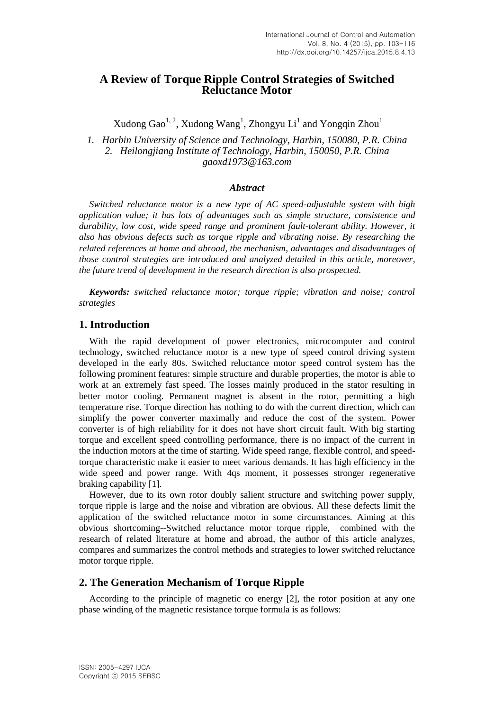# **A Review of Torque Ripple Control Strategies of Switched Reluctance Motor**

Xudong Gao<sup>1, 2</sup>, Xudong Wang<sup>1</sup>, Zhongyu Li<sup>1</sup> and Yongqin Zhou<sup>1</sup>

*1. Harbin University of Science and Technology, Harbin, 150080, P.R. China 2. Heilongjiang Institute of Technology, Harbin, 150050, P.R. China gaoxd1973@163.com*

### *Abstract*

*Switched reluctance motor is a new type of AC speed-adjustable system with high application value; it has lots of advantages such as simple structure, consistence and durability, low cost, wide speed range and prominent fault-tolerant ability. However, it also has obvious defects such as torque ripple and vibrating noise. By researching the related references at home and abroad, the mechanism, advantages and disadvantages of those control strategies are introduced and analyzed detailed in this article, moreover, the future trend of development in the research direction is also prospected.*

*Keywords: switched reluctance motor; torque ripple; vibration and noise; control strategies*

### **1. Introduction**

With the rapid development of power electronics, microcomputer and control technology, switched reluctance motor is a new type of speed control driving system developed in the early 80s. Switched reluctance motor speed control system has the following prominent features: simple structure and durable properties, the motor is able to work at an extremely fast speed. The losses mainly produced in the stator resulting in better motor cooling. Permanent magnet is absent in the rotor, permitting a high temperature rise. Torque direction has nothing to do with the current direction, which can simplify the power converter maximally and reduce the cost of the system. Power converter is of high reliability for it does not have short circuit fault. With big starting torque and excellent speed controlling performance, there is no impact of the current in the induction motors at the time of starting. Wide speed range, flexible control, and speedtorque characteristic make it easier to meet various demands. It has high efficiency in the wide speed and power range. With 4qs moment, it possesses stronger regenerative braking capability [1].

However, due to its own rotor doubly salient structure and switching power supply, torque ripple is large and the noise and vibration are obvious. All these defects limit the application of the switched reluctance motor in some circumstances. Aiming at this obvious shortcoming--Switched reluctance motor torque ripple, combined with the research of related literature at home and abroad, the author of this article analyzes, compares and summarizes the control methods and strategies to lower switched reluctance motor torque ripple.

### **2. The Generation Mechanism of Torque Ripple**

According to the principle of magnetic co energy [2], the rotor position at any one phase winding of the magnetic resistance torque formula is as follows: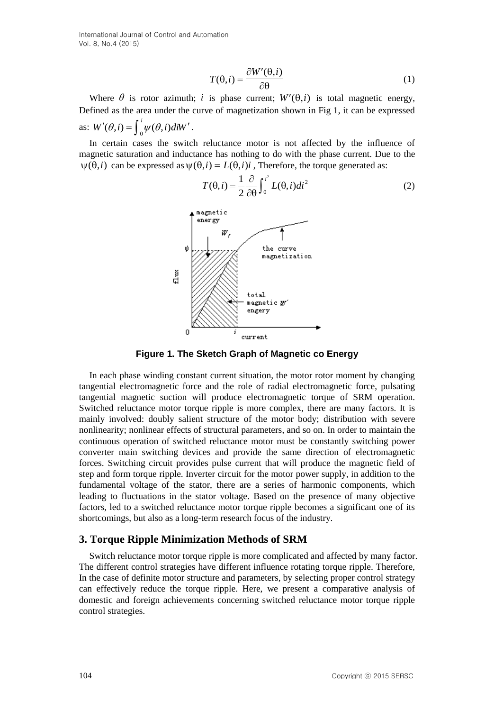International Journal of Control and Automation Vol. 8, No.4 (2015)

$$
T(\theta, i) = \frac{\partial W'(\theta, i)}{\partial \theta} \tag{1}
$$

Where  $\theta$  is rotor azimuth; *i* is phase current;  $W'(\theta, i)$  is total magnetic energy, Defined as the area under the curve of magnetization shown in Fig 1, it can be expressed as:  $W'(\theta, i) = \int_0^i \psi(\theta, i) dW'$ .

In certain cases the switch reluctance motor is not affected by the influence of magnetic saturation and inductance has nothing to do with the phase current. Due to the  $\psi(\theta, i)$  can be expressed as  $\psi(\theta, i) = L(\theta, i)i$ , Therefore, the torque generated as:



 $\int_0^L L(\theta$  $\partial \theta$  $\theta$ , i) =  $\frac{1}{2} \frac{\partial}{\partial \theta} \int_{0}^{i^2}$ 0  $(\theta, i)di^2$ 2  $T(\theta, i) = \frac{1}{2} \frac{\partial}{\partial \theta} \int_{i}^{i^2} L(\theta, i) di^2$  (2)

**Figure 1. The Sketch Graph of Magnetic co Energy**

Where  $\theta$  is rotor arismally is in phase carrelation. We have convertisely the induced between the convertisely in the phase carrelation of the convertisely in the control of  $\theta$  ( $Q(t)$ ),  $\frac{1}{2}$  ( $Q(t)$ ),  $\frac{1}{2}$   $Q$ In each phase winding constant current situation, the motor rotor moment by changing tangential electromagnetic force and the role of radial electromagnetic force, pulsating tangential magnetic suction will produce electromagnetic torque of SRM operation. Switched reluctance motor torque ripple is more complex, there are many factors. It is mainly involved: doubly salient structure of the motor body; distribution with severe nonlinearity; nonlinear effects of structural parameters, and so on. In order to maintain the continuous operation of switched reluctance motor must be constantly switching power converter main switching devices and provide the same direction of electromagnetic forces. Switching circuit provides pulse current that will produce the magnetic field of step and form torque ripple. Inverter circuit for the motor power supply, in addition to the fundamental voltage of the stator, there are a series of harmonic components, which leading to fluctuations in the stator voltage. Based on the presence of many objective factors, led to a switched reluctance motor torque ripple becomes a significant one of its shortcomings, but also as a long-term research focus of the industry.

### **3. Torque Ripple Minimization Methods of SRM**

Switch reluctance motor torque ripple is more complicated and affected by many factor. The different control strategies have different influence rotating torque ripple. Therefore, In the case of definite motor structure and parameters, by selecting proper control strategy can effectively reduce the torque ripple. Here, we present a comparative analysis of domestic and foreign achievements concerning switched reluctance motor torque ripple control strategies.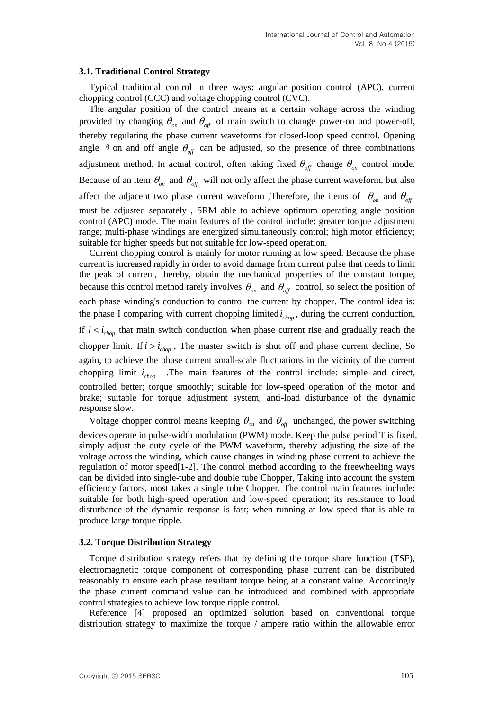### **3.1. Traditional Control Strategy**

Typical traditional control in three ways: angular position control (APC), current chopping control (CCC) and voltage chopping control (CVC).

The angular position of the control means at a certain voltage across the winding provided by changing  $\theta_{on}$  and  $\theta_{off}$  of main switch to change power-on and power-off, thereby regulating the phase current waveforms for closed-loop speed control. Opening angle  $\theta$  on and off angle  $\theta_{\text{off}}$  can be adjusted, so the presence of three combinations adjustment method. In actual control, often taking fixed  $\theta_{\text{off}}$  change  $\theta_{\text{on}}$  control mode. Because of an item  $\theta_{on}$  and  $\theta_{off}$  will not only affect the phase current waveform, but also affect the adjacent two phase current waveform ,Therefore, the items of  $\theta_{on}$  and  $\theta_{off}$ must be adjusted separately , SRM able to achieve optimum operating angle position control (APC) mode. The main features of the control include: greater torque adjustment range; multi-phase windings are energized simultaneously control; high motor efficiency; suitable for higher speeds but not suitable for low-speed operation.

Current chopping control is mainly for motor running at low speed. Because the phase current is increased rapidly in order to avoid damage from current pulse that needs to limit the peak of current, thereby, obtain the mechanical properties of the constant torque, because this control method rarely involves  $\theta_{on}$  and  $\theta_{off}$  control, so select the position of each phase winding's conduction to control the current by chopper. The control idea is: the phase I comparing with current chopping limited  $i_{chop}$ , during the current conduction, if  $i < i_{chop}$  that main switch conduction when phase current rise and gradually reach the chopper limit. If  $i > i_{chop}$ , The master switch is shut off and phase current decline, So again, to achieve the phase current small-scale fluctuations in the vicinity of the current chopping limit  $i_{chop}$  .The main features of the control include: simple and direct, controlled better; torque smoothly; suitable for low-speed operation of the motor and brake; suitable for torque adjustment system; anti-load disturbance of the dynamic response slow.

Voltage chopper control means keeping  $\theta_{on}$  and  $\theta_{off}$  unchanged, the power switching devices operate in pulse-width modulation (PWM) mode. Keep the pulse period T is fixed, simply adjust the duty cycle of the PWM waveform, thereby adjusting the size of the voltage across the winding, which cause changes in winding phase current to achieve the regulation of motor speed[1-2]. The control method according to the freewheeling ways can be divided into single-tube and double tube Chopper, Taking into account the system efficiency factors, most takes a single tube Chopper. The control main features include: suitable for both high-speed operation and low-speed operation; its resistance to load disturbance of the dynamic response is fast; when running at low speed that is able to produce large torque ripple.

#### **3.2. Torque Distribution Strategy**

Torque distribution strategy refers that by defining the torque share function (TSF), electromagnetic torque component of corresponding phase current can be distributed reasonably to ensure each phase resultant torque being at a constant value. Accordingly the phase current command value can be introduced and combined with appropriate control strategies to achieve low torque ripple control.

Reference [4] proposed an optimized solution based on conventional torque distribution strategy to maximize the torque / ampere ratio within the allowable error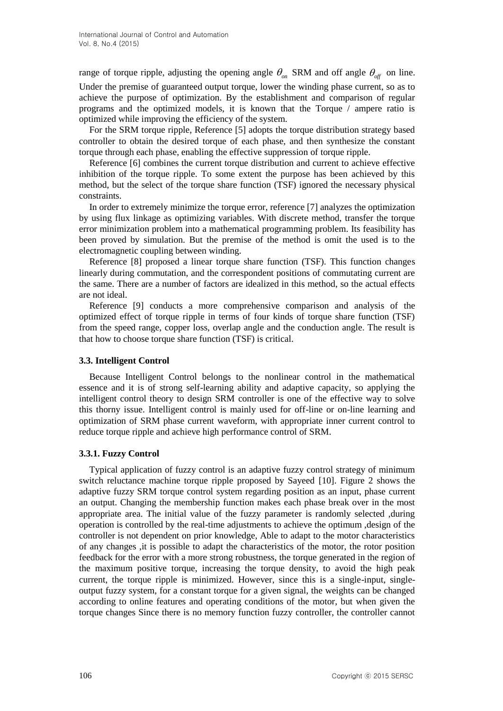range of torque ripple, adjusting the opening angle  $\theta_{on}$  SRM and off angle  $\theta_{off}$  on line. Under the premise of guaranteed output torque, lower the winding phase current, so as to achieve the purpose of optimization. By the establishment and comparison of regular programs and the optimized models, it is known that the Torque / ampere ratio is optimized while improving the efficiency of the system.

For the SRM torque ripple, Reference [5] adopts the torque distribution strategy based controller to obtain the desired torque of each phase, and then synthesize the constant torque through each phase, enabling the effective suppression of torque ripple.

Reference [6] combines the current torque distribution and current to achieve effective inhibition of the torque ripple. To some extent the purpose has been achieved by this method, but the select of the torque share function (TSF) ignored the necessary physical constraints.

In order to extremely minimize the torque error, reference [7] analyzes the optimization by using flux linkage as optimizing variables. With discrete method, transfer the torque error minimization problem into a mathematical programming problem. Its feasibility has been proved by simulation. But the premise of the method is omit the used is to the electromagnetic coupling between winding.

Reference [8] proposed a linear torque share function (TSF). This function changes linearly during commutation, and the correspondent positions of commutating current are the same. There are a number of factors are idealized in this method, so the actual effects are not ideal.

Reference [9] conducts a more comprehensive comparison and analysis of the optimized effect of torque ripple in terms of four kinds of torque share function (TSF) from the speed range, copper loss, overlap angle and the conduction angle. The result is that how to choose torque share function (TSF) is critical.

### **3.3. Intelligent Control**

Because Intelligent Control belongs to the nonlinear control in the mathematical essence and it is of strong self-learning ability and adaptive capacity, so applying the intelligent control theory to design SRM controller is one of the effective way to solve this thorny issue. Intelligent control is mainly used for off-line or on-line learning and optimization of SRM phase current waveform, with appropriate inner current control to reduce torque ripple and achieve high performance control of SRM.

## **3.3.1. Fuzzy Control**

Typical application of fuzzy control is an adaptive fuzzy control strategy of minimum switch reluctance machine torque ripple proposed by Sayeed [10]. Figure 2 shows the adaptive fuzzy SRM torque control system regarding position as an input, phase current an output. Changing the membership function makes each phase break over in the most appropriate area. The initial value of the fuzzy parameter is randomly selected ,during operation is controlled by the real-time adjustments to achieve the optimum ,design of the controller is not dependent on prior knowledge, Able to adapt to the motor characteristics of any changes ,it is possible to adapt the characteristics of the motor, the rotor position feedback for the error with a more strong robustness, the torque generated in the region of the maximum positive torque, increasing the torque density, to avoid the high peak current, the torque ripple is minimized. However, since this is a single-input, singleoutput fuzzy system, for a constant torque for a given signal, the weights can be changed according to online features and operating conditions of the motor, but when given the torque changes Since there is no memory function fuzzy controller, the controller cannot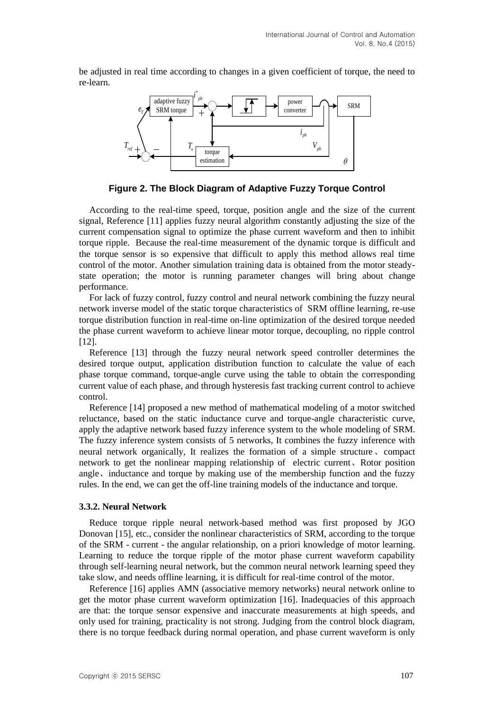be adjusted in real time according to changes in a given coefficient of torque, the need to re-learn.



**Figure 2. The Block Diagram of Adaptive Fuzzy Torque Control**

According to the real-time speed, torque, position angle and the size of the current signal, Reference [11] applies fuzzy neural algorithm constantly adjusting the size of the current compensation signal to optimize the phase current waveform and then to inhibit torque ripple. Because the real-time measurement of the dynamic torque is difficult and the torque sensor is so expensive that difficult to apply this method allows real time control of the motor. Another simulation training data is obtained from the motor steadystate operation; the motor is running parameter changes will bring about change performance.

For lack of fuzzy control, fuzzy control and neural network combining the fuzzy neural network inverse model of the static torque characteristics of SRM offline learning, re-use torque distribution function in real-time on-line optimization of the desired torque needed the phase current waveform to achieve linear motor torque, decoupling, no ripple control [12].

Reference [13] through the fuzzy neural network speed controller determines the desired torque output, application distribution function to calculate the value of each phase torque command, torque-angle curve using the table to obtain the corresponding current value of each phase, and through hysteresis fast tracking current control to achieve control.

Reference [14] proposed a new method of mathematical modeling of a motor switched reluctance, based on the static inductance curve and torque-angle characteristic curve, apply the adaptive network based fuzzy inference system to the whole modeling of SRM. The fuzzy inference system consists of 5 networks, It combines the fuzzy inference with neural network organically, It realizes the formation of a simple structure、compact network to get the nonlinear mapping relationship of electric current、Rotor position angle、inductance and torque by making use of the membership function and the fuzzy rules. In the end, we can get the off-line training models of the inductance and torque.

#### **3.3.2. Neural Network**

Reduce torque ripple neural network-based method was first proposed by JGO Donovan [15], etc., consider the nonlinear characteristics of SRM, according to the torque of the SRM - current - the angular relationship, on a priori knowledge of motor learning. Learning to reduce the torque ripple of the motor phase current waveform capability through self-learning neural network, but the common neural network learning speed they take slow, and needs offline learning, it is difficult for real-time control of the motor.

Reference [16] applies AMN (associative memory networks) neural network online to get the motor phase current waveform optimization [16]. Inadequacies of this approach are that: the torque sensor expensive and inaccurate measurements at high speeds, and only used for training, practicality is not strong. Judging from the control block diagram, there is no torque feedback during normal operation, and phase current waveform is only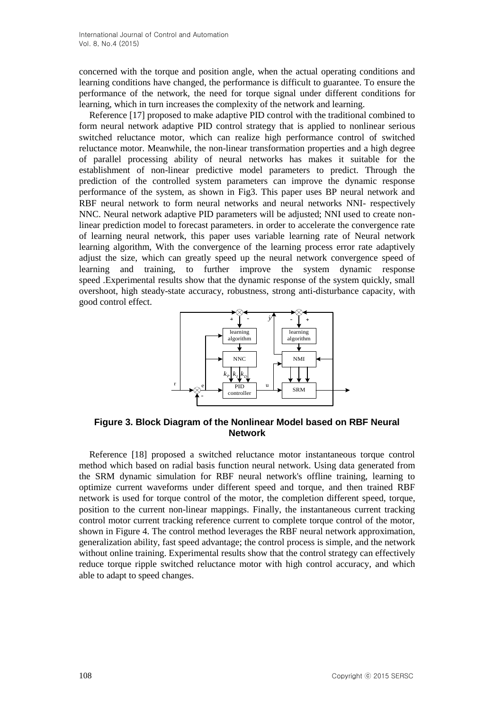concerned with the torque and position angle, when the actual operating conditions and learning conditions have changed, the performance is difficult to guarantee. To ensure the performance of the network, the need for torque signal under different conditions for learning, which in turn increases the complexity of the network and learning.

Reference [17] proposed to make adaptive PID control with the traditional combined to form neural network adaptive PID control strategy that is applied to nonlinear serious switched reluctance motor, which can realize high performance control of switched reluctance motor. Meanwhile, the non-linear transformation properties and a high degree of parallel processing ability of neural networks has makes it suitable for the establishment of non-linear predictive model parameters to predict. Through the prediction of the controlled system parameters can improve the dynamic response performance of the system, as shown in Fig3. This paper uses BP neural network and RBF neural network to form neural networks and neural networks NNI- respectively NNC. Neural network adaptive PID parameters will be adjusted; NNI used to create nonlinear prediction model to forecast parameters. in order to accelerate the convergence rate of learning neural network, this paper uses variable learning rate of Neural network learning algorithm, With the convergence of the learning process error rate adaptively adjust the size, which can greatly speed up the neural network convergence speed of learning and training, to further improve the system dynamic response speed .Experimental results show that the dynamic response of the system quickly, small overshoot, high steady-state accuracy, robustness, strong anti-disturbance capacity, with good control effect.



**Figure 3. Block Diagram of the Nonlinear Model based on RBF Neural Network**

Reference [18] proposed a switched reluctance motor instantaneous torque control method which based on radial basis function neural network. Using data generated from the SRM dynamic simulation for RBF neural network's offline training, learning to optimize current waveforms under different speed and torque, and then trained RBF network is used for torque control of the motor, the completion different speed, torque, position to the current non-linear mappings. Finally, the instantaneous current tracking control motor current tracking reference current to complete torque control of the motor, shown in Figure 4. The control method leverages the RBF neural network approximation, generalization ability, fast speed advantage; the control process is simple, and the network without online training. Experimental results show that the control strategy can effectively reduce torque ripple switched reluctance motor with high control accuracy, and which able to adapt to speed changes.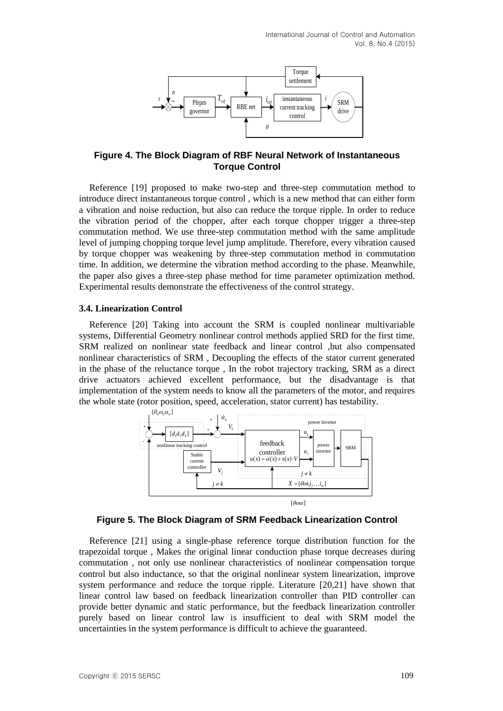

**Figure 4. The Block Diagram of RBF Neural Network of Instantaneous Torque Control**

Figure 4. The Block Diagram of RBF Neural Network of Instantaneous<br>
Figure 4. The Block Diagram of RBF Neural Network of Instantaneous<br>
Reference 1191 proposed to make two-stop and three-stop commutation method into the<br> Reference [19] proposed to make two-step and three-step commutation method to introduce direct instantaneous torque control , which is a new method that can either form a vibration and noise reduction, but also can reduce the torque ripple. In order to reduce the vibration period of the chopper, after each torque chopper trigger a three-step commutation method. We use three-step commutation method with the same amplitude level of jumping chopping torque level jump amplitude. Therefore, every vibration caused by torque chopper was weakening by three-step commutation method in commutation time. In addition, we determine the vibration method according to the phase. Meanwhile, the paper also gives a three-step phase method for time parameter optimization method. Experimental results demonstrate the effectiveness of the control strategy.

### **3.4. Linearization Control**

Reference [20] Taking into account the SRM is coupled nonlinear multivariable systems, Differential Geometry nonlinear control methods applied SRD for the first time. SRM realized on nonlinear state feedback and linear control ,but also compensated nonlinear characteristics of SRM , Decoupling the effects of the stator current generated in the phase of the reluctance torque , In the robot trajectory tracking, SRM as a direct drive actuators achieved excellent performance, but the disadvantage is that implementation of the system needs to know all the parameters of the motor, and requires the whole state (rotor position, speed, acceleration, stator current) has testability.



**Figure 5. The Block Diagram of SRM Feedback Linearization Control**

Reference [21] using a single-phase reference torque distribution function for the trapezoidal torque , Makes the original linear conduction phase torque decreases during commutation , not only use nonlinear characteristics of nonlinear compensation torque control but also inductance, so that the original nonlinear system linearization, improve system performance and reduce the torque ripple. Literature [20,21] have shown that linear control law based on feedback linearization controller than PID controller can provide better dynamic and static performance, but the feedback linearization controller purely based on linear control law is insufficient to deal with SRM model the uncertainties in the system performance is difficult to achieve the guaranteed.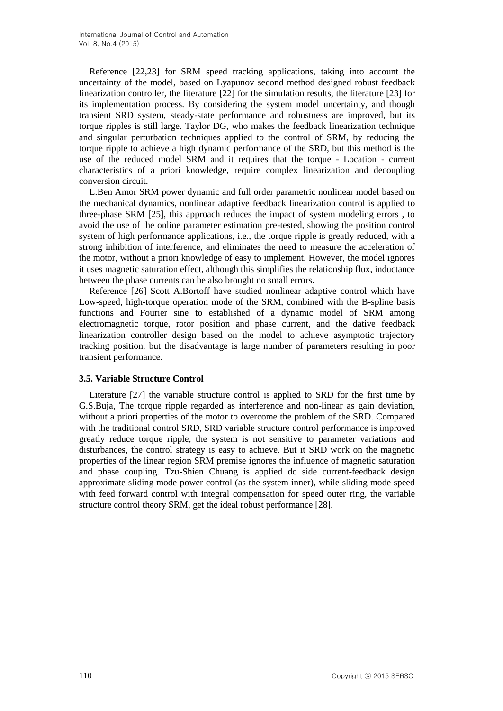Reference [22,23] for SRM speed tracking applications, taking into account the uncertainty of the model, based on Lyapunov second method designed robust feedback linearization controller, the literature [22] for the simulation results, the literature [23] for its implementation process. By considering the system model uncertainty, and though transient SRD system, steady-state performance and robustness are improved, but its torque ripples is still large. Taylor DG, who makes the feedback linearization technique and singular perturbation techniques applied to the control of SRM, by reducing the torque ripple to achieve a high dynamic performance of the SRD, but this method is the use of the reduced model SRM and it requires that the torque - Location - current characteristics of a priori knowledge, require complex linearization and decoupling conversion circuit.

L.Ben Amor SRM power dynamic and full order parametric nonlinear model based on the mechanical dynamics, nonlinear adaptive feedback linearization control is applied to three-phase SRM [25], this approach reduces the impact of system modeling errors , to avoid the use of the online parameter estimation pre-tested, showing the position control system of high performance applications, i.e., the torque ripple is greatly reduced, with a strong inhibition of interference, and eliminates the need to measure the acceleration of the motor, without a priori knowledge of easy to implement. However, the model ignores it uses magnetic saturation effect, although this simplifies the relationship flux, inductance between the phase currents can be also brought no small errors.

Reference [26] Scott A.Bortoff have studied nonlinear adaptive control which have Low-speed, high-torque operation mode of the SRM, combined with the B-spline basis functions and Fourier sine to established of a dynamic model of SRM among electromagnetic torque, rotor position and phase current, and the dative feedback linearization controller design based on the model to achieve asymptotic trajectory tracking position, but the disadvantage is large number of parameters resulting in poor transient performance.

### **3.5. Variable Structure Control**

Literature [27] the variable structure control is applied to SRD for the first time by G.S.Buja, The torque ripple regarded as interference and non-linear as gain deviation, without a priori properties of the motor to overcome the problem of the SRD. Compared with the traditional control SRD, SRD variable structure control performance is improved greatly reduce torque ripple, the system is not sensitive to parameter variations and disturbances, the control strategy is easy to achieve. But it SRD work on the magnetic properties of the linear region SRM premise ignores the influence of magnetic saturation and phase coupling. Tzu-Shien Chuang is applied dc side current-feedback design approximate sliding mode power control (as the system inner), while sliding mode speed with feed forward control with integral compensation for speed outer ring, the variable structure control theory SRM, get the ideal robust performance [28].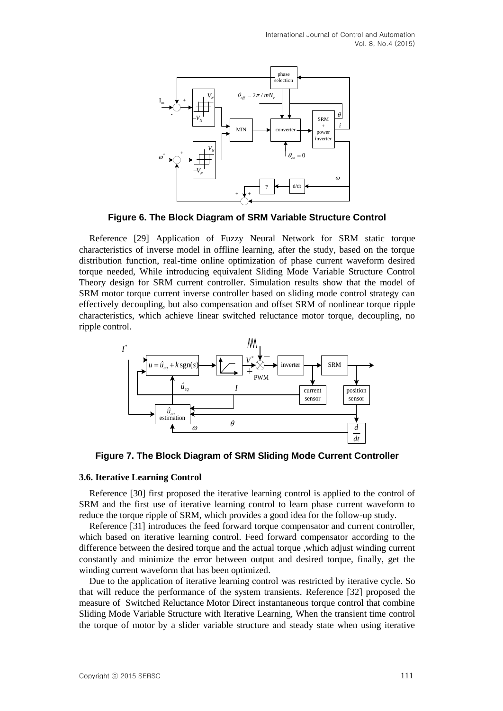

**Figure 6. The Block Diagram of SRM Variable Structure Control**

Copyright ⓒ 2015 SERSC 111 *VN VN VN VN* Reference [29] Application of Fuzzy Neural Network for SRM static torque characteristics of inverse model in offline learning, after the study, based on the torque distribution function, real-time online optimization of phase current waveform desired torque needed, While introducing equivalent Sliding Mode Variable Structure Control Theory design for SRM current controller. Simulation results show that the model of SRM motor torque current inverse controller based on sliding mode control strategy can effectively decoupling, but also compensation and offset SRM of nonlinear torque ripple characteristics, which achieve linear switched reluctance motor torque, decoupling, no ripple control.



**Figure 7. The Block Diagram of SRM Sliding Mode Current Controller**

### **3.6. Iterative Learning Control**

Reference [30] first proposed the iterative learning control is applied to the control of SRM and the first use of iterative learning control to learn phase current waveform to reduce the torque ripple of SRM, which provides a good idea for the follow-up study.

Reference [31] introduces the feed forward torque compensator and current controller, which based on iterative learning control. Feed forward compensator according to the difference between the desired torque and the actual torque ,which adjust winding current constantly and minimize the error between output and desired torque, finally, get the winding current waveform that has been optimized.

Due to the application of iterative learning control was restricted by iterative cycle. So that will reduce the performance of the system transients. Reference [32] proposed the measure of Switched Reluctance Motor Direct instantaneous torque control that combine Sliding Mode Variable Structure with Iterative Learning, When the transient time control the torque of motor by a slider variable structure and steady state when using iterative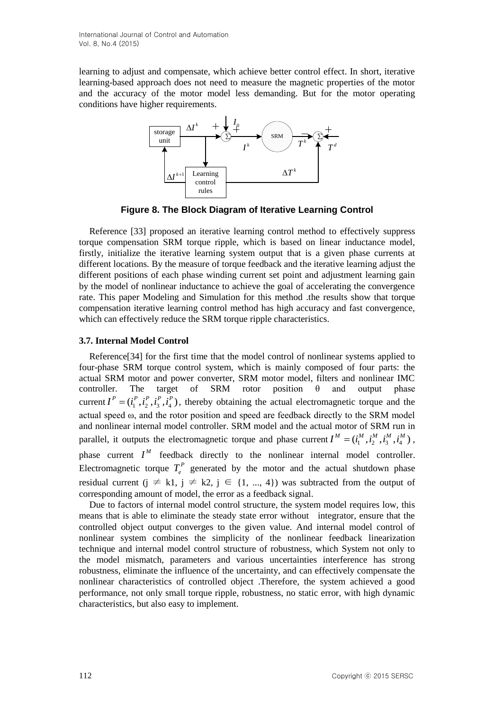learning to adjust and compensate, which achieve better control effect. In short, iterative learning-based approach does not need to measure the magnetic properties of the motor and the accuracy of the motor model less demanding. But for the motor operating conditions have higher requirements.



**Figure 8. The Block Diagram of Iterative Learning Control**

Reference [33] proposed an iterative learning control method to effectively suppress torque compensation SRM torque ripple, which is based on linear inductance model, firstly, initialize the iterative learning system output that is a given phase currents at different locations. By the measure of torque feedback and the iterative learning adjust the different positions of each phase winding current set point and adjustment learning gain by the model of nonlinear inductance to achieve the goal of accelerating the convergence rate. This paper Modeling and Simulation for this method .the results show that torque compensation iterative learning control method has high accuracy and fast convergence, which can effectively reduce the SRM torque ripple characteristics.

### **3.7. Internal Model Control**

Reference[34] for the first time that the model control of nonlinear systems applied to four-phase SRM torque control system, which is mainly composed of four parts: the actual SRM motor and power converter, SRM motor model, filters and nonlinear IMC controller. The target of SRM rotor position  $\theta$  and output phase current  $I^P = (i_1^P, i_2^P, i_3^P, i_4^P)$ , thereby obtaining the actual electromagnetic torque and the actual speed ω, and the rotor position and speed are feedback directly to the SRM model and nonlinear internal model controller. SRM model and the actual motor of SRM run in parallel, it outputs the electromagnetic torque and phase current  $I^M = (i_1^M, i_2^M, i_3^M, i_4^M)$ , phase current  $I^M$  feedback directly to the nonlinear internal model controller. Electromagnetic torque  $T_e^P$  generated by the motor and the actual shutdown phase residual current (j  $\neq k1$ , j  $\neq k2$ , j  $\in$  {1, ..., 4}) was subtracted from the output of corresponding amount of model, the error as a feedback signal.

Due to factors of internal model control structure, the system model requires low, this means that is able to eliminate the steady state error without integrator, ensure that the controlled object output converges to the given value. And internal model control of nonlinear system combines the simplicity of the nonlinear feedback linearization technique and internal model control structure of robustness, which System not only to the model mismatch, parameters and various uncertainties interference has strong robustness, eliminate the influence of the uncertainty, and can effectively compensate the nonlinear characteristics of controlled object .Therefore, the system achieved a good performance, not only small torque ripple, robustness, no static error, with high dynamic characteristics, but also easy to implement.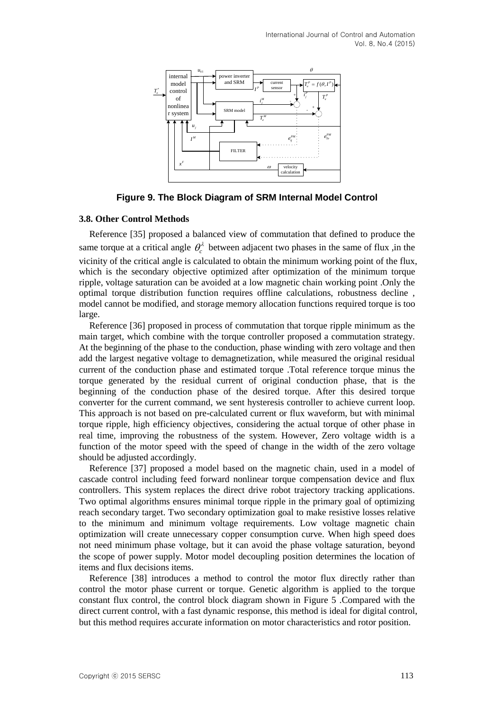

**Figure 9. The Block Diagram of SRM Internal Model Control**

#### **3.8. Other Control Methods**

Reference [35] proposed a balanced view of commutation that defined to produce the same torque at a critical angle  $\theta_c^{\lambda}$  between adjacent two phases in the same of flux ,in the vicinity of the critical angle is calculated to obtain the minimum working point of the flux, which is the secondary objective optimized after optimization of the minimum torque ripple, voltage saturation can be avoided at a low magnetic chain working point .Only the optimal torque distribution function requires offline calculations, robustness decline , model cannot be modified, and storage memory allocation functions required torque is too large.

Reference [36] proposed in process of commutation that torque ripple minimum as the main target, which combine with the torque controller proposed a commutation strategy. At the beginning of the phase to the conduction, phase winding with zero voltage and then add the largest negative voltage to demagnetization, while measured the original residual current of the conduction phase and estimated torque .Total reference torque minus the torque generated by the residual current of original conduction phase, that is the beginning of the conduction phase of the desired torque. After this desired torque converter for the current command, we sent hysteresis controller to achieve current loop. This approach is not based on pre-calculated current or flux waveform, but with minimal torque ripple, high efficiency objectives, considering the actual torque of other phase in real time, improving the robustness of the system. However, Zero voltage width is a function of the motor speed with the speed of change in the width of the zero voltage should be adjusted accordingly.

Reference [37] proposed a model based on the magnetic chain, used in a model of cascade control including feed forward nonlinear torque compensation device and flux controllers. This system replaces the direct drive robot trajectory tracking applications. Two optimal algorithms ensures minimal torque ripple in the primary goal of optimizing reach secondary target. Two secondary optimization goal to make resistive losses relative to the minimum and minimum voltage requirements. Low voltage magnetic chain optimization will create unnecessary copper consumption curve. When high speed does not need minimum phase voltage, but it can avoid the phase voltage saturation, beyond the scope of power supply. Motor model decoupling position determines the location of items and flux decisions items.

Reference [38] introduces a method to control the motor flux directly rather than control the motor phase current or torque. Genetic algorithm is applied to the torque constant flux control, the control block diagram shown in Figure 5 .Compared with the direct current control, with a fast dynamic response, this method is ideal for digital control, but this method requires accurate information on motor characteristics and rotor position.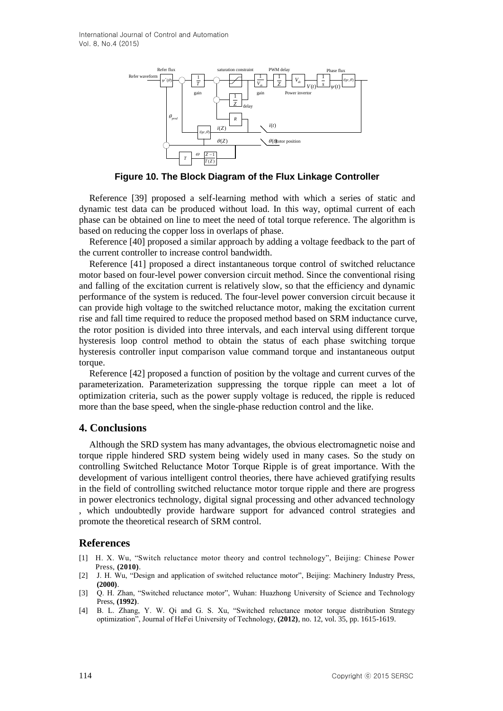

**Figure 10. The Block Diagram of the Flux Linkage Controller**

Reference [39] proposed a self-learning method with which a series of static and dynamic test data can be produced without load. In this way, optimal current of each phase can be obtained on line to meet the need of total torque reference. The algorithm is based on reducing the copper loss in overlaps of phase.

Reference [40] proposed a similar approach by adding a voltage feedback to the part of the current controller to increase control bandwidth.

Reference [41] proposed a direct instantaneous torque control of switched reluctance motor based on four-level power conversion circuit method. Since the conventional rising and falling of the excitation current is relatively slow, so that the efficiency and dynamic performance of the system is reduced. The four-level power conversion circuit because it can provide high voltage to the switched reluctance motor, making the excitation current rise and fall time required to reduce the proposed method based on SRM inductance curve, the rotor position is divided into three intervals, and each interval using different torque hysteresis loop control method to obtain the status of each phase switching torque hysteresis controller input comparison value command torque and instantaneous output torque.

Reference [42] proposed a function of position by the voltage and current curves of the parameterization. Parameterization suppressing the torque ripple can meet a lot of optimization criteria, such as the power supply voltage is reduced, the ripple is reduced more than the base speed, when the single-phase reduction control and the like.

## **4. Conclusions**

Although the SRD system has many advantages, the obvious electromagnetic noise and torque ripple hindered SRD system being widely used in many cases. So the study on controlling Switched Reluctance Motor Torque Ripple is of great importance. With the development of various intelligent control theories, there have achieved gratifying results in the field of controlling switched reluctance motor torque ripple and there are progress in power electronics technology, digital signal processing and other advanced technology , which undoubtedly provide hardware support for advanced control strategies and promote the theoretical research of SRM control.

## **References**

- [1] H. X. Wu, "Switch reluctance motor theory and control technology", Beijing: Chinese Power Press, **(2010)**.
- [2] J. H. Wu, "Design and application of switched reluctance motor", Beijing: Machinery Industry Press, **(2000)**.
- [3] Q. H. Zhan, "Switched reluctance motor", Wuhan: Huazhong University of Science and Technology Press, **(1992)**.
- [4] B. L. Zhang, Y. W. Qi and G. S. Xu, "Switched reluctance motor torque distribution Strategy optimization", Journal of HeFei University of Technology, **(2012)**, no. 12, vol. 35, pp. 1615-1619.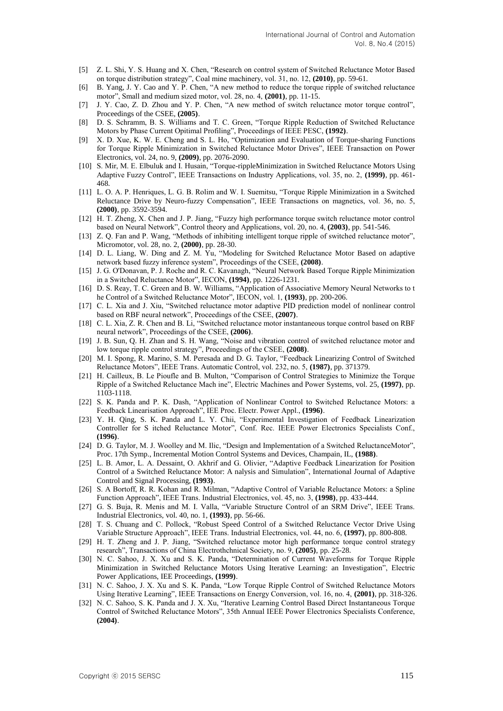- [5] Z. L. Shi, Y. S. Huang and X. Chen, "Research on control system of Switched Reluctance Motor Based on torque distribution strategy", Coal mine machinery, vol. 31, no. 12, **(2010)**, pp. 59-61.
- [6] B. Yang, J. Y. Cao and Y. P. Chen, "A new method to reduce the torque ripple of switched reluctance motor", Small and medium sized motor, vol. 28, no. 4, **(2001)**, pp. 11-15.
- [7] J. Y. Cao, Z. D. Zhou and Y. P. Chen, "A new method of switch reluctance motor torque control", Proceedings of the CSEE, **(2005)**.
- [8] D. S. Schramm, B. S. Williams and T. C. Green, "Torque Ripple Reduction of Switched Reluctance Motors by Phase Current Opitimal Profiling", Proceedings of IEEE PESC, **(1992)**.
- [9] X. D. Xue, K. W. E. Cheng and S. L. Ho, "Optimization and Evaluation of Torque-sharing Functions for Torque Ripple Minimization in Switched Reluctance Motor Drives", IEEE Transaction on Power Electronics, vol. 24, no. 9, **(2009)**, pp. 2076-2090.
- [10] S. Mir, M. E. Elbuluk and I. Husain, "Torque-rippleMinimization in Switched Reluctance Motors Using Adaptive Fuzzy Control", IEEE Transactions on Industry Applications, vol. 35, no. 2, **(1999)**, pp. 461- 468.
- [11] L. O. A. P. Henriques, L. G. B. Rolim and W. I. Suemitsu, "Torque Ripple Minimization in a Switched Reluctance Drive by Neuro-fuzzy Compensation", IEEE Transactions on magnetics, vol. 36, no. 5, **(2000)**, pp. 3592-3594.
- [12] H. T. Zheng, X. Chen and J. P. Jiang, "Fuzzy high performance torque switch reluctance motor control based on Neural Network", Control theory and Applications, vol. 20, no. 4, **(2003)**, pp. 541-546.
- [13] Z. Q. Fan and P. Wang, "Methods of inhibiting intelligent torque ripple of switched reluctance motor", Micromotor, vol. 28, no. 2, **(2000)**, pp. 28-30.
- [14] D. L. Liang, W. Ding and Z. M. Yu, "Modeling for Switched Reluctance Motor Based on adaptive network based fuzzy inference system", Proceedings of the CSEE, **(2008)**.
- [15] J. G. O'Donavan, P. J. Roche and R. C. Kavanagh, "Neural Network Based Torque Ripple Minimization in a Switched Reluctance Motor", IECON, **(1994)**, pp. 1226-1231.
- [16] D. S. Reay, T. C. Green and B. W. Williams, "Application of Associative Memory Neural Networks to t he Control of a Switched Reluctance Motor", IECON, vol. 1, **(1993)**, pp. 200-206.
- [17] C. L. Xia and J. Xiu, "Switched reluctance motor adaptive PID prediction model of nonlinear control based on RBF neural network", Proceedings of the CSEE, **(2007)**.
- [18] C. L. Xia, Z. R. Chen and B. Li, "Switched reluctance motor instantaneous torque control based on RBF neural network", Proceedings of the CSEE, **(2006)**.
- [19] J. B. Sun, Q. H. Zhan and S. H. Wang, "Noise and vibration control of switched reluctance motor and low torque ripple control strategy", Proceedings of the CSEE, **(2008)**.
- [20] M. I. Spong, R. Marino, S. M. Peresada and D. G. Taylor, "Feedback Linearizing Control of Switched Reluctance Motors", IEEE Trans. Automatic Control, vol. 232, no. 5, **(1987)**, pp. 371379.
- [21] H. Cailleux, B. Le Pioufle and B. Multon, "Comparison of Control Strategies to Minimize the Torque Ripple of a Switched Reluctance Mach ine", Electric Machines and Power Systems, vol. 25, **(1997)**, pp. 1103-1118.
- [22] S. K. Panda and P. K. Dash, "Application of Nonlinear Control to Switched Reluctance Motors: a Feedback Linearisation Approach", IEE Proc. Electr. Power Appl., **(1996)**.
- [23] Y. H. Qing, S. K. Panda and L. Y. Chii, "Experimental Investigation of Feedback Linearization Controller for S itched Reluctance Motor", Conf. Rec. IEEE Power Electronics Specialists Conf., **(1996)**.
- [24] D. G. Taylor, M. J. Woolley and M. Ilic, "Design and Implementation of a Switched ReluctanceMotor", Proc. 17th Symp., Incremental Motion Control Systems and Devices, Champain, IL, **(1988)**.
- [25] L. B. Amor, L. A. Dessaint, O. Akhrif and G. Olivier, "Adaptive Feedback Linearization for Position Control of a Switched Reluctance Motor: A nalysis and Simulation", International Journal of Adaptive Control and Signal Processing, **(1993)**.
- [26] S. A Bortoff, R. R. Kohan and R. Milman, "Adaptive Control of Variable Reluctance Motors: a Spline Function Approach", IEEE Trans. Industrial Electronics, vol. 45, no. 3, **(1998)**, pp. 433-444.
- [27] G. S. Buja, R. Menis and M. I. Valla, "Variable Structure Control of an SRM Drive", IEEE Trans. Industrial Electronics, vol. 40, no. 1, **(1993)**, pp. 56-66.
- [28] T. S. Chuang and C. Pollock, "Robust Speed Control of a Switched Reluctance Vector Drive Using Variable Structure Approach", IEEE Trans. Industrial Electronics, vol. 44, no. 6, **(1997)**, pp. 800-808.
- [29] H. T. Zheng and J. P. Jiang, "Switched reluctance motor high performance torque control strategy research", Transactions of China Electrothchnical Society, no. 9, **(2005)**, pp. 25-28.
- [30] N. C. Sahoo, J. X. Xu and S. K. Panda, "Determination of Current Waveforms for Torque Ripple Minimization in Switched Reluctance Motors Using Iterative Learning: an Investigation", Electric Power Applications, IEE Proceedings, **(1999)**.
- [31] N. C. Sahoo, J. X. Xu and S. K. Panda, "Low Torque Ripple Control of Switched Reluctance Motors Using Iterative Learning", IEEE Transactions on Energy Conversion, vol. 16, no. 4, **(2001)**, pp. 318-326.
- [32] N. C. Sahoo, S. K. Panda and J. X. Xu, "Iterative Learning Control Based Direct Instantaneous Torque Control of Switched Reluctance Motors", 35th Annual IEEE Power Electronics Specialists Conference, **(2004)**.